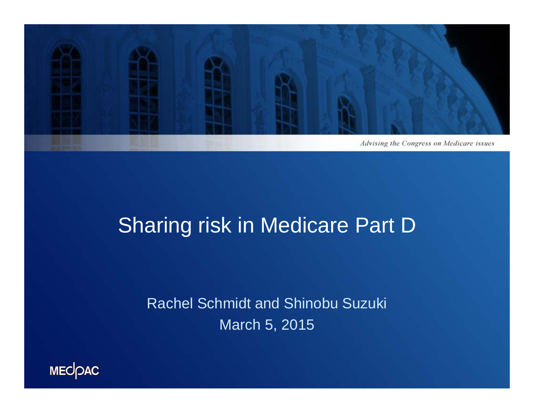

### Sharing risk in Medicare Part D

Rachel Schmidt and Shinobu Suzuki March 5, 2015

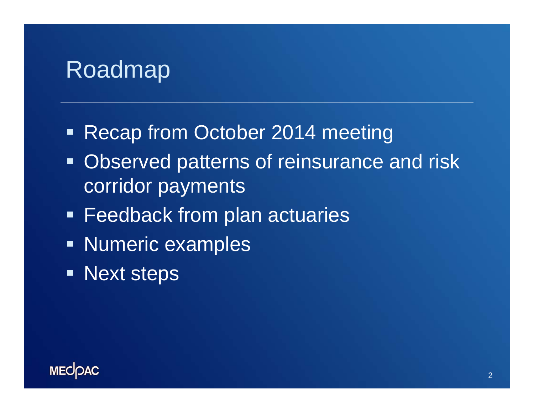### Roadmap

- **Recap from October 2014 meeting**
- **Observed patterns of reinsurance and risk** corridor payments
- **Feedback from plan actuaries**
- **Numeric examples**
- **Next steps**

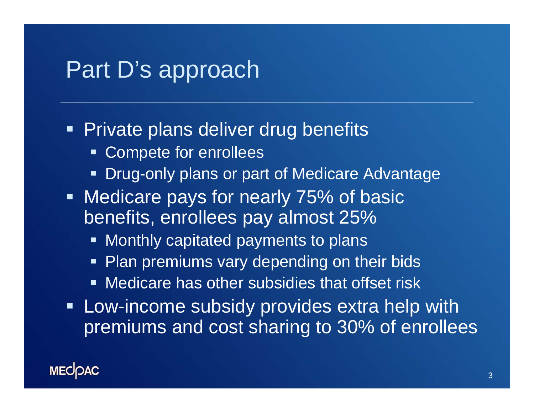### Part D's approach

### **Private plans deliver drug benefits**

- **Compete for enrollees**
- Drug-only plans or part of Medicare Advantage
- н. Medicare pays for nearly 75% of basic benefits, enrollees pay almost 25%
	- **Monthly capitated payments to plans**
	- **Plan premiums vary depending on their bids**
	- Medicare has other subsidies that offset risk
- **EXA:** Low-income subsidy provides extra help with premiums and cost sharing to 30% of enrollees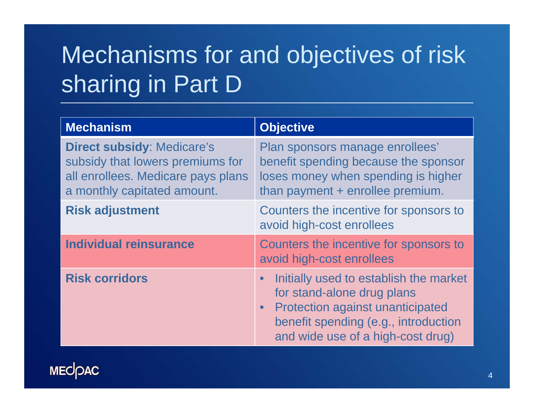# Mechanisms for and objectives of risk sharing in Part D

| <b>Mechanism</b>                                                                                                                           | <b>Objective</b>                                                                                                                                                                                          |  |  |
|--------------------------------------------------------------------------------------------------------------------------------------------|-----------------------------------------------------------------------------------------------------------------------------------------------------------------------------------------------------------|--|--|
| <b>Direct subsidy: Medicare's</b><br>subsidy that lowers premiums for<br>all enrollees. Medicare pays plans<br>a monthly capitated amount. | Plan sponsors manage enrollees'<br>benefit spending because the sponsor<br>loses money when spending is higher<br>than payment + enrollee premium.                                                        |  |  |
| <b>Risk adjustment</b>                                                                                                                     | Counters the incentive for sponsors to<br>avoid high-cost enrollees                                                                                                                                       |  |  |
| <b>Individual reinsurance</b>                                                                                                              | Counters the incentive for sponsors to<br>avoid high-cost enrollees                                                                                                                                       |  |  |
| <b>Risk corridors</b>                                                                                                                      | Initially used to establish the market<br>for stand-alone drug plans<br><b>Protection against unanticipated</b><br>$\bullet$<br>benefit spending (e.g., introduction<br>and wide use of a high-cost drug) |  |  |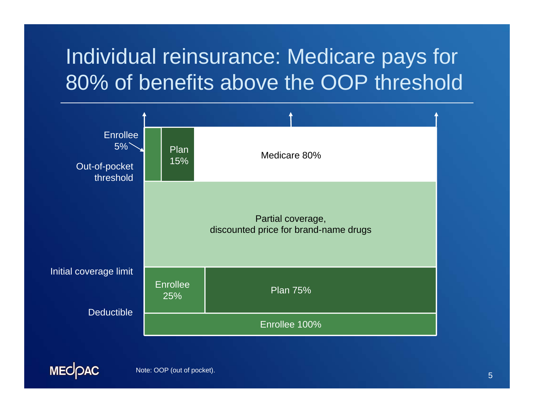## Individual reinsurance: Medicare pays for 80% of benefits above the OOP threshold



Note: OOP (out of pocket).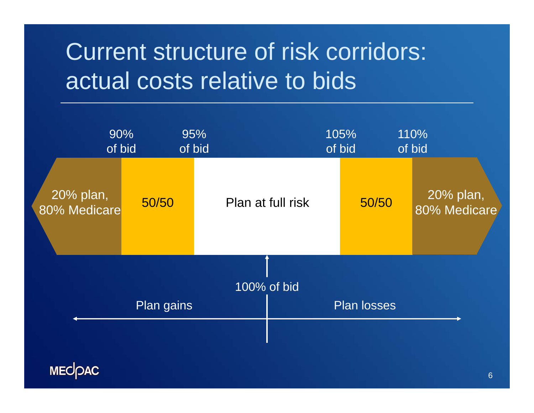# Current structure of risk corridors: actual costs relative to bids

|                           | 90%<br>of bid | 95%<br>of bid |                   | 105%<br>of bid     | 110%<br>of bid            |
|---------------------------|---------------|---------------|-------------------|--------------------|---------------------------|
| 20% plan,<br>80% Medicare | 50/50         |               | Plan at full risk | 50/50              | 20% plan,<br>80% Medicare |
|                           |               | 100% of bid   |                   |                    |                           |
| Plan gains                |               |               |                   | <b>Plan losses</b> |                           |
| <b>MECOAC</b>             |               |               |                   |                    | $\mathbf{a}$              |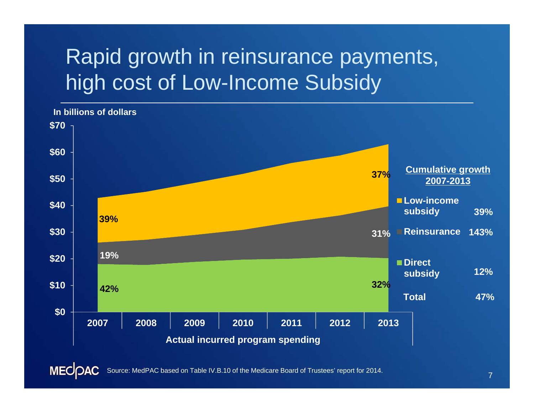## Rapid growth in reinsurance payments, high cost of Low-Income Subsidy



**MECOAC** Source: MedPAC based on Table IV.B.10 of the Medicare Board of Trustees' report for 2014.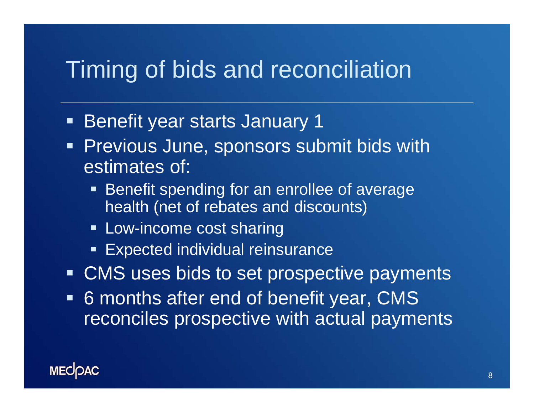## Timing of bids and reconciliation

- Ξ Benefit year starts January 1
- Previous June, sponsors submit bids with estimates of:
	- **Benefit spending for an enrollee of average** health (net of rebates and discounts)
	- **Example 20 Figure 10 Figure 20 Figure 20 Figure 20 Figure 20 Figure 20 Figure 20 Figure 20 Figure 20 Figure 20 Figure 20 Figure 20 Figure 20 Figure 20 Figure 20 Figure 20 Figure 20 Figure 20 Figure 20 Figure 20 Figure 20**
	- **Expected individual reinsurance**
- **CMS uses bids to set prospective payments**
- 6 months after end of benefit year, CMS reconciles prospective with actual payments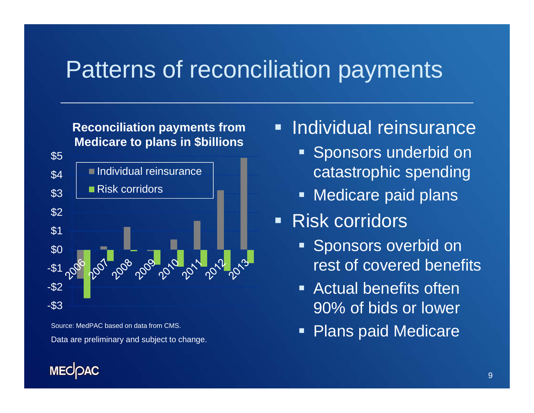### Patterns of reconciliation payments

### **Reconciliation payments from Medicare to plans in \$billions**



Source: MedPAC based on data from CMS.Data are preliminary and subject to change.

### **MECOAC**

#### Г Individual reinsurance

- **Sponsors underbid on** catastrophic spending
- **Medicare paid plans**
- Risk corridors
	- **Sponsors overbid on** rest of covered benefits
	- **Example 21 Actual benefits often** 90% of bids or lower
	- Ξ Plans paid Medicare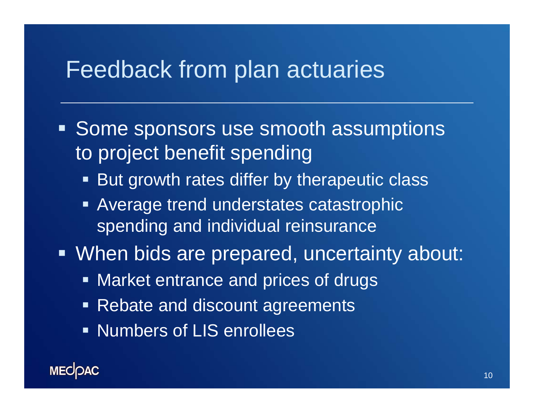### Feedback from plan actuaries

- **Some sponsors use smooth assumptions** to project benefit spending
	- **But growth rates differ by therapeutic class**
	- **Average trend understates catastrophic** spending and individual reinsurance
- When bids are prepared, uncertainty about:
	- **Market entrance and prices of drugs**
	- Rebate and discount agreements
	- **Numbers of LIS enrollees**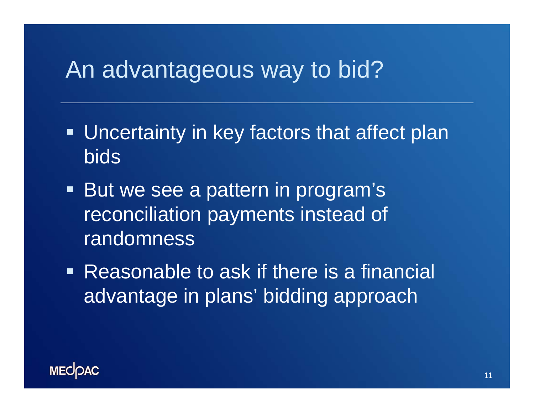## An advantageous way to bid?

- **Uncertainty in key factors that affect plan** bids
- **But we see a pattern in program's** reconciliation payments instead of randomness
- **Reasonable to ask if there is a financial** advantage in plans' bidding approach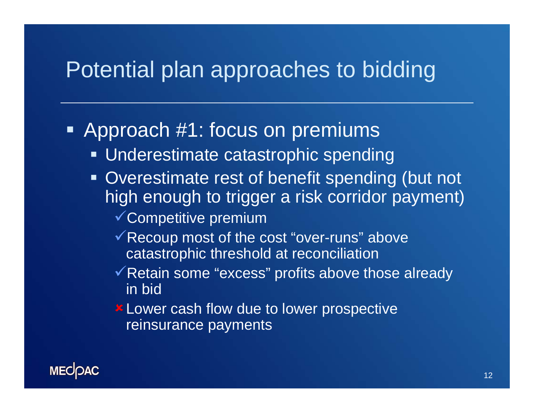### Potential plan approaches to bidding

### **-** Approach #1: focus on premiums

- **Underestimate catastrophic spending**
- **Overestimate rest of benefit spending (but not** high enough to trigger a risk corridor payment)
	- Competitive premium
	- $\checkmark$  Recoup most of the cost "over-runs" above catastrophic threshold at reconciliation
	- ◆ Retain some "excess" profits above those already in bid
	- Lower cash flow due to lower prospective reinsurance payments

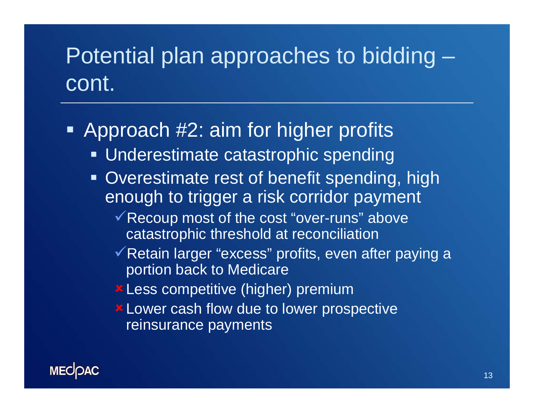## Potential plan approaches to bidding – cont.

- **-** Approach #2: aim for higher profits
	- **Underestimate catastrophic spending**
	- **Overestimate rest of benefit spending, high** enough to trigger a risk corridor payment
		- Recoup most of the cost "over-runs" above catastrophic threshold at reconciliation
		- √ Retain larger "excess" profits, even after paying a portion back to Medicare
		- Less competitive (higher) premium
		- **\* Lower cash flow due to lower prospective** reinsurance payments

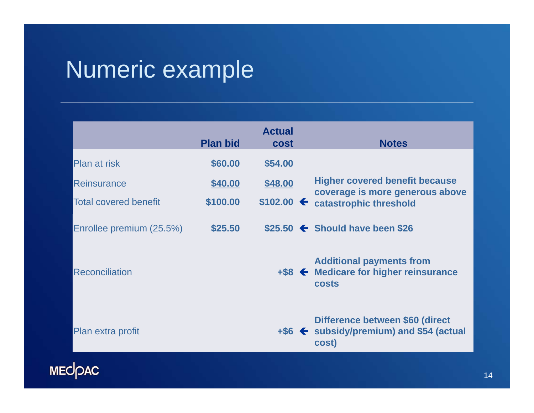# Numeric example

|                              | <b>Plan bid</b> | <b>Actual</b><br><b>cost</b> | <b>Notes</b>                                                                                            |  |
|------------------------------|-----------------|------------------------------|---------------------------------------------------------------------------------------------------------|--|
| Plan at risk                 | \$60.00         | \$54.00                      |                                                                                                         |  |
| Reinsurance                  | \$40.00         | \$48.00                      | <b>Higher covered benefit because</b><br>coverage is more generous above<br>catastrophic threshold      |  |
| <b>Total covered benefit</b> | \$100.00        | $$102.00 \leftarrow$         |                                                                                                         |  |
| Enrollee premium (25.5%)     | \$25.50         |                              | $$25.50$ $\leftarrow$ Should have been \$26                                                             |  |
| <b>Reconciliation</b>        |                 |                              | <b>Additional payments from</b><br>$+$ \$8 $\leftarrow$ Medicare for higher reinsurance<br><b>costs</b> |  |
| Plan extra profit            |                 |                              | Difference between \$60 (direct<br>$+$ \$6 $\blacktriangle$ subsidy/premium) and \$54 (actual<br>cost)  |  |

MECDAC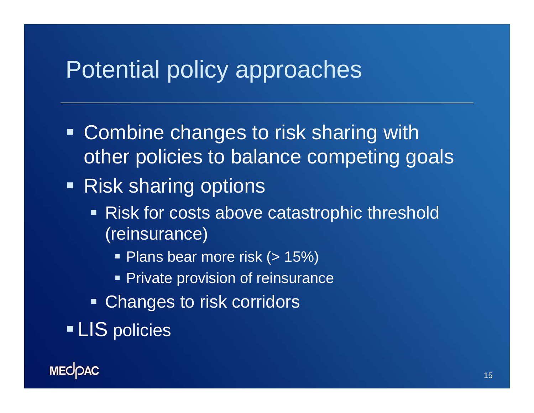## Potential policy approaches

- **Combine changes to risk sharing with** other policies to balance competing goals
- Risk sharing options
	- Risk for costs above catastrophic threshold (reinsurance)
		- Plans bear more risk (> 15%)
		- **Private provision of reinsurance**
	- **Example 1** Changes to risk corridors
- **LIS** policies